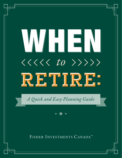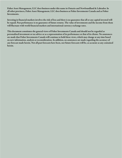Fisher Asset Management, LLC does business under this name in Ontario and Newfoundland & Labrador. In all other provinces, Fisher Asset Management, LLC does business as Fisher Investments Canada and as Fisher Investments.

Investing in financial markets involves the risk of loss and there is no guarantee that all or any capital invested will be repaid. Past performance is no guarantee of future returns. The value of investments and the income from them will fluctuate with world financial markets and international currency exchange rates.

This document constitutes the general views of Fisher Investments Canada and should not be regarded as personalised investment or tax advice or as a representation of its performance or that of its clients. No assurances are made that Fisher Investments Canada will continue to hold these views, which may change at any time based on new information, analysis or reconsideration. In addition, no assurances are made regarding the accuracy of any forecast made herein. Not all past forecasts have been, nor future forecasts will be, as accurate as any contained herein.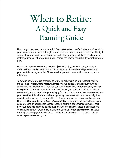# When to Retire: A Quick and Easy Planning Guide

How many times have you wondered, "*When will I be able to retire?*" Maybe you're early in your career and you haven't thought about retirement much, or maybe retirement is right around the corner and you're simply waiting for the right time to take the next step. No matter your age or where you are in your career, the time to think about your retirement is now.

How much money do you need to retire? \$500,000? \$1,000,000? Can you retire at 55? Or will you need to work until you're 75? How much cash flow will you need from your portfolio once you retire? These are all important considerations as you plan for retirement.

To determine when you're prepared to retire, we believe it's helpful to start by asking the question: *What will my retirement look like?* Specifically, think about your goals and objectives in retirement. Then you can ask: *What will my retirement cost, and how will I pay for it?* For example, if you want to maintain your current standard of living in retirement, you may need a larger nest egg. Or, if you plan to spend less in retirement and your investment time horizon is shorter, you may have less need to save and might be ready to retire sooner. It is essential to consider your projected income and expenses. Next, ask: *How should I invest for retirement?* Based on your goals and situation, you can determine an appropriate asset allocation, portfolio benchmark and level of cash flow your portfolio might be able to support. Once you answer these initial questions, you should be better prepared to answer the question: *When can I retire?* This guide is designed to help you answer these questions and develop a basic plan to help you achieve your retirement goals.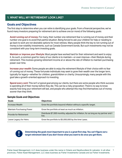#### **1. WHAT WILL MY RETIREMENT LOOK LIKE?**

#### **Goals and Objectives**

The first step to determine when you can retire is identifying your goals. From a financial perspective, we've found many investors preparing for retirement aim to achieve one (or more) of the following goals:

**Avoid running out of money:** For many, their number one retirement fear is running out of money and their number one goal is to avoid that painful situation. Being forced to ask your children for help or needing to go back to work are not desirable options for most retirees. Many people think the key to not running out of money is low-volatility investments, such as Canada Government bonds. But such investments may not be consistent with your long-term investing goals.

**Maintain or improve your lifestyle:** Most people have worked hard for their retirement and want to enjoy it. As such, a common goal for many of our clients is to maintain—or even improve—their lifestyle during retirement. This involves growing retirement income at or above the rate of inflation to maintain purchasing power over time.

**Increase your wealth:** Some people are able to enjoy the retirement lifestyle of their choice with no fear of running out of money. These fortunate individuals may seek to grow their wealth over the longer term, typically for legacy—whether for children, grandchildren or charity. Unsurprisingly, many people with this goal take a growth-oriented approach to investing.

**Spend every cent:** This isn't a typical goal among our clients, but there are some people who think success is spending all of their money before they die. This can be a risky proposition: There's no way to know exactly how long your retirement will last, and people who attempt this may find themselves out of money sooner than they think.

| <b>Goals</b>                     | <b>Objectives</b>                                                                            |
|----------------------------------|----------------------------------------------------------------------------------------------|
| Increase Wealth                  | Grow the portfolio beyond inflation without a specific target.                               |
| <b>Maintain Purchasing Power</b> | Grow the portfolio at least as much as inflation.                                            |
| Provide for Retirement           | Distribute \$7,000 monthly, adjusted for inflation, for as long as my partner and I<br>live. |
| Leave Legacy for Heirs           | Grow the portfolio to \$5,000,000 by the time I pass.                                        |

#### **Sample Goals and Objectives**



**Determining the goals most important to you is a great first step. You can't figure out a target retirement date if you don't know what you want to do once you get there.**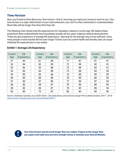#### **Time Horizon**

Next, you'll need to think about your time horizon—that is, how long you need your money to work for you. Your time horizon is a major determinant of your total retirement cost, and it's often overlooked or underestimated. Most folks will live longer than they think they will.

The following chart shows total life expectancies for Canadians, based on current age. We believe these projections likely underestimate how long people actually will live, given ongoing medical advancements. These are also projections of average life expectancy—planning for the average may not be sufficient, since many people in each bracket will live even longer. Factors such as current health and heredity also can cause individual life expectancies to vary widely.

| <b>Current</b><br>Age | Life<br>Expectancy | <b>Current</b><br>Age | Life<br>Expectancy | <b>Current</b><br>Age | Life<br>Expectancy | <b>Current</b><br>Age | Life<br>Expectancy |
|-----------------------|--------------------|-----------------------|--------------------|-----------------------|--------------------|-----------------------|--------------------|
| 51                    | 84                 | 61                    | 85                 | 71                    | 87                 | 81                    | 91                 |
| 52                    | 84                 | 62                    | 85                 | 72                    | 88                 | 82                    | 91                 |
| 53                    | 84                 | 63                    | 86                 | 73                    | 88                 | 83                    | 91                 |
| 54                    | 84                 | 64                    | 86                 | 74                    | 88                 | 84                    | 92                 |
| 55                    | 85                 | 65                    | 86                 | 75                    | 88                 | 85                    | 92                 |
| 56                    | 85                 | 66                    | 86                 | 76                    | 89                 | 86                    | 93                 |
| 57                    | 85                 | 67                    | 86                 | 77                    | 89                 | 87                    | 93                 |
| 58                    | 85                 | 68                    | 87                 | 78                    | 89                 | 88                    | 94                 |
| 59                    | 85                 | 69                    | 87                 | 79                    | 90                 | 89                    | 94                 |
| 60                    | 85                 | 70                    | 87                 | 80                    | 90                 | 90                    | 95                 |

# **Average Life Expectancy\* Exhibit 1: Average Life Expectancy**

*Source: Statistics Canada, as of 25/01/2021. Life expectancy, all provinces except Prince Edward Island, 2017 - 2019. <https://www150.statcan.gc.ca/n1/en/type/data?MM=1>.*



**Your time horizon may be much longer than you realize. Prepare to live longer than you expect and make sure you have enough money to maintain your desired lifestyle.**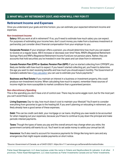#### **2. WHAT WILL MY RETIREMENT COST, AND HOW WILL I PAY FOR IT?**

#### **Retirement Income and Expenses**

Once you understand your goals and time horizon, you can estimate your expected retirement income and expenses.

#### **Non-investment Income**

**Salary:** Will you work at all in retirement? If so, you'll need to estimate how much salary you can expect. For purposes of estimating your income here, don't count money you make from a business investment or partnership; just consider direct financial compensation from your employer to you.

**Corporate Pension:** If your employer offers a pension, you should determine how much you can expect to receive on a regular basis. Will it increase or decrease over time? Note, RRSPs (Registered Retirement Savings Plan) and RRIFs (Registered Retirement Income Fund) are not pension plans. Rather, they are accounts that hold securities you've invested in over the years and can draw from in retirement.

**Canada Pension Plan (CPP) or Quebec Pension Plan (QPP):** If you've started collecting from CPP/QPP, you likely are familiar with how much to expect. If you haven't started collecting yet, you'll want to determine the age you want to start receiving benefits and how much you should expect monthly. The Government of Canada's website has a [free calculator](https://srv111.services.gc.ca/GeneralInformation/Index) you can use to estimate your future payments.\*

**Business and Real Estate:** If you maintain an interest in a business or investment property, this could produce non-investment income. When calculating how much to expect, remember these sources of income might be more susceptible to market conditions than a guaranteed pension.

#### **Non-discretionary Spending**

This is the spending you don't have a lot of control over. There may be some wiggle room, but for the most part you can't avoid these costs.

**Living Expenses:** Day-to-day, how much does it cost to maintain your lifestyle? You'll want to consider everything from groceries to gas to the heating bill. If you aren't planning on relocating in retirement, you likely already have a good sense of these expenses.

**Debt:** This can be credit card debt, your mortgage or car loans. Anything you owe needs to be accounted for when mapping out your expenses, because you'll have to continue to pay down the principal and make periodic interest payments.

**Taxes:** Though the types of taxes you pay and the overall amount may change when you retire, the government certainly still wants its cut. You'll want to set aside money to settle your annual tax bill.

**Insurance:** You'll also need to account for insurance payments for things like long-term care and any emergencies that might require sizable payments on short notice.

*\*Source: Government of Canada, as of 04/01/2021. https://srv111.services.gc.ca/GeneralInformation/Index.*

Fisher Asset Management, LLC does business under this name in Ontario and Newfoundland & Labrador. In all other 3 provinces, Fisher Asset Management, LLC does business as Fisher Investments Canada and as Fisher Investments.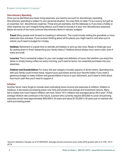#### **Discretionary Spending**

Once you've identified your basic living expenses, you need to account for discretionary spending. Discretionary spending is subject to your personal situation. You may think of cable TV as a luxury, but golf as an essential, non- discretionary expense. These are just examples, but the takeaway is, if you have a hobby or other expense you can't imagine living without, you'll need to include it in your non-discretionary expenses. Below are some of the more common discretionary items in retirees' budgets:

**Travel:** Many people look forward to traveling in retirement. This could include visiting the grandkids or more elaborate trips overseas. If you've been thinking about all the places you might want to visit when you're retired, you'll need to budget for it today.

**Hobbies:** Retirement is a great time to rekindle old hobbies or pick up new ones. Ready to finally get your fly casting down or finish researching your family history? Hobbies almost always incur some costs, even if many are small.

**Luxuries:** This is somewhat subject to your own budget and definition of luxury. But whether you enjoy fine wines or simply having coffee out every morning, you'll need to factor non-essential purchases into your expenses.

**Children and Grandchildren:** For many, this last category includes aspects of all the others. Spending time with your family could involve travel, require luxury purchases and be your favorite hobby. If you need a generous budget to make children and grandchildren a focus in your retirement, you'll need to think about how much cash flow you'll need to support it.

#### **Inflation**

Another factor many forget to include when estimating future income and expenses is inflation. Inflation is insidious. It decreases purchasing power over time and erodes real savings and investment returns. Many fail to realize how much impact inflation can have. Since 1914, inflation has averaged about 3% a year.\* If that average inflation rate continues in the future, a person who currently requires \$50,000 to cover annual living expenses would need approximately \$90,000 in 20 years and about \$120,000 in 30 years just to maintain the same purchasing power.

*\*Source: Statistics Canada, as of 21/09/2020. Average annual consumer price index (CPI) growth rate of 3.12%, 1914 - 2019.*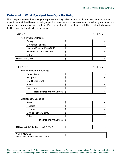### **Determining What You Need From Your Portfolio**

Now that you've determined what your expenses are likely to be and how much non-investment income to expect, the worksheet below can help you put it all together. You also can recreate the following worksheet in a spreadsheet program like Microsoft Excel® or find free templates on the internet. This is just a starting point feel free to make it as detailed as necessary.

| <b>INCOME</b>        |                                             | % of Total |
|----------------------|---------------------------------------------|------------|
|                      | Non-investment Income                       |            |
|                      | Salary                                      | \$<br>$\%$ |
|                      | <b>Corporate Pension</b>                    | \$<br>$\%$ |
|                      | Canada Pension Plan (CPP)                   | \$<br>$\%$ |
|                      | <b>Business and Real Estate</b>             | \$<br>$\%$ |
|                      | Other                                       | \$<br>$\%$ |
| <b>TOTAL INCOME:</b> |                                             | \$<br>$\%$ |
| <b>EXPENSES</b>      |                                             | % of Total |
|                      | <b>Non-discretionary Spending</b>           |            |
|                      | <b>Basic Living</b>                         | \$<br>$\%$ |
|                      | Mortgage                                    | \$<br>$\%$ |
|                      | <b>Credit Card Debt</b>                     | \$<br>$\%$ |
|                      | <b>Taxes</b>                                | \$<br>$\%$ |
|                      | Insurance                                   | \$<br>$\%$ |
|                      | <b>Non-discretionary Subtotal</b>           | \$<br>$\%$ |
|                      | <b>Discretionary Spending</b>               |            |
|                      | <b>Travel</b>                               | \$<br>$\%$ |
|                      | Hobbies                                     | \$<br>$\%$ |
|                      | Luxuries                                    | \$<br>$\%$ |
|                      | Gifts to Family/Charity                     | \$<br>$\%$ |
|                      | Other                                       | \$<br>$\%$ |
|                      | <b>Discretionary Subtotal</b>               | \$<br>$\%$ |
|                      |                                             |            |
|                      | <b>TOTAL EXPENSES:</b> (add both Subtotals) | \$<br>%    |
|                      |                                             |            |

Fisher Asset Management, LLC does business under this name in Ontario and Newfoundland & Labrador. In all other 5 provinces, Fisher Asset Management, LLC does business as Fisher Investments Canada and as Fisher Investments.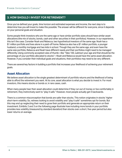#### **3. HOW SHOULD I INVEST FOR RETIREMENT?**

Once you've defined your goals, time horizon and estimated expenses and income, the next step is to determine how you will invest to make this possible. The answer will be different for everyone, since it depends on your personal goals and situation.

Some people think investors who are the same age or have similar portfolio sizes should have similar asset allocations (the mix of stocks, bonds, cash and other securities in their portfolios). However, in our experience, this isn't the case. Consider Noah and Rebecca, two hypothetical investors of the same age. Noah has a \$1 million portfolio and lives alone in a paid-off home. Rebecca also has a \$1 million portfolio, a younger husband, a monthly mortgage and two kids in school. Though they are the same age, and even have the same size portfolio, Rebecca and Noah have different needs and their portfolios might need to be managed differently. Using commonly accepted rules of thumb—like "Take 100, subtract your age and that should be the percentage of your portfolio allocated to stocks"—Noah and Rebecca would have the same asset allocation. However, if you consider their individual goals and situations, their portfolios may need to be very different.

There are several key factors in building a portfolio that increases your likelihood of achieving your retirement goals.

#### **Asset Allocation**

We believe asset allocation is the single greatest determinant of portfolio returns and the likelihood of being able to afford the retirement you want. At its core, asset allocation is what you decide to invest in. For most investors, this means stocks or bonds or, in rare cases, cash.

When many people hear their asset allocation could determine if they run out of money or live comfortably in retirement, they instinctively want to "play it safe." However, most people actually get it backwards.

There is a common misconception that bonds are safer than stocks. This notion originates in stocks' higher short-term volatility. So, retirees looking to avoid volatility and "play it safe" sometimes opt for bonds. But this may end up neglecting their need to grow their portfolio and generate an appropriate return on their investment. Exhibits 2 and 3 on the following page illustrate how including more bonds in your portfolio provides less volatility (measured by standard deviation) than stocks over a short, five-year period but also lower returns on average.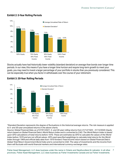

#### **Exhibit 2: 5-Year Rolling Periods**

Stocks actually have had historically lower volatility (standard deviation) on average than bonds over longer time periods. In our view, this means if you have a longer time horizon and require long-term growth to meet your goals, you may need to invest a larger percentage of your portfolio in stocks than you previously considered. This can be especially true when you factor in withdrawals over the course of your retirement.



#### **Exhibit 3: 30-Year Rolling Periods**

*\*Standard Deviation represents the degree of fluctuations in the historical average returns. The risk measure is applied to 5- and 30-year annualised returns in the above charts.*

*Source: Global Financial Data, as of 07/01/2021. 5- and 30-year rolling returns from 31/12/1925 - 31/12/2020. Equity return based on Global Financial Data's World Return Index and is converted to CAD. The World Return Index is based upon GFD calculations of total returns before 1970. These are estimates by GFD to calculate the values of the World Index before 1970 and are not official values. GFD used specified weightings to calculate total returns for the World Index through 1969 and official daily data from 1970 forward. Fixed Income return based on Global Financial Data's Global Total Return Government Bond Index and is converted to CAD. The value of investments and the income from them will fluctuate with world financial markets and international currency exchange rates.*

Fisher Asset Management, LLC does business under this name in Ontario and Newfoundland & Labrador. In all other 7 provinces, Fisher Asset Management, LLC does business as Fisher Investments Canada and as Fisher Investments.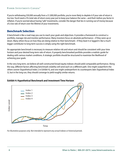If you're withdrawing \$50,000 annually from a \$1,000,000 portfolio, you're more likely to deplete it if your rate of return is too low. You'd need a 5% total rate of return every year just to keep your balance the same—and that's before you factor in inflation. If you're worried about having "safe" investments, consider the danger that lies in running out of money because of a low rate of return over the lifetime of your investments.

#### **Benchmark Selection**

A benchmark is like a road map you use to reach your goals and objectives. It provides a framework to construct a portfolio, manage risk and monitor performance. Many investors focus on absolute performance—if they were up or down. Many others focus on how they are doing relative to their benchmark—if they beat it or lagged it. But a much bigger contributor to long-term success is simply using the right benchmark.

An appropriate benchmark is necessary to measure relative risk and return and should be consistent with your time horizon and your desired long-term rate of return. A properly benchmarked portfolio provides a realistic guide for dealing with various market conditions. A strategic portfolio should be structured to maximize the likelihood of achieving your goals.

In the very long term, we believe all well-constructed broad equity indexes should yield comparable performance. Along the way, different factors affecting benchmark volatility will send each on a different path. One might outperform the others sooner (hypothetical Index 2 in Exhibit 4), and one might underperform its counterparts later (hypothetical Index 3), but in the long run, they should converge to yield roughly similar returns.



#### **Exhibit 4: Hypothetical Benchmark and Investment Time Horizon**

Time

*For illustration purposes only. Not intended to represent any actual indexes or historical periods.*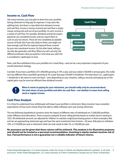#### **Income vs. Cash Flow**

Like many investors, you may plan to draw from your portfolio during retirement to help pay for expenses. It may seem like splitting hairs, but there is a key distinction between income and cash flow. Income is money received and cash flow is simply money coming into and out of your portfolio. As such, income is a subset of cash flow. For example, dividends and bond coupon payments are considered income, and you report them as such on your tax returns. These are two completely acceptable sources of funds. But if you rely solely on them, you might not have enough cash flow for expenses beyond those covered by your non-investment income. On the other hand, selling a security also generates cash flow. When you sell a security, the difference between what you paid for it and what you sold it for is considered a capital gain (or loss).



Note, cash flow withdrawn from your portfolio isn't a bad thing—and can be a very important component of your overall retirement strategy.

Consider: If you have a portfolio of \$1,000,000 growing at 10% a year, and you realize \$100,000 in annual gains, this really isn't any different than a portfolio growing at 5% a year that pays \$50,000 in dividends. The total return (i.e., capital gains + dividends) is the same on a pre-tax basis—and, depending on your situation, selling a security and paying tax on the capital gains may be more tax-efficient than dividend income!



**When it comes to paying for your retirement, you should really only be concerned about the total return of your portfolio and after-tax cash flow—not whether it comes from selling stock or regular income.**

#### **Cash Flow Analysis**

It is critical to understand how withdrawals will impact your portfolio in retirement. Many investors have unrealistic expectations of how much money they'll be able to safely withdraw each year during retirement.

The two following hypothetical scenarios show the impact of different rates of withdrawal on \$1,000,000 portfolios under different asset allocations. These scenarios analyzed 30-year rolling periods based on market returns starting in 1925. All withdrawal amounts are adjusted for inflation to maintain original purchasing power. In these examples, Bob and Jan are approaching retirement age and have the same investment time horizon—30 years. Bob plans to withdraw 10%, or \$100,000 per year in retirement while Jan only needs to take 3%, or \$30,000 per year.

**No assurance can be given that these returns will be achieved. This analysis is for illustrative purposes and should not be treated as a personal recommendation. Investing in equity markets involves risk of loss. Past performance is not a guarantee nor a reliable indicator of future returns.**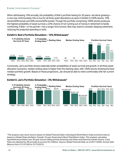When withdrawing 10% annually, the probability of Bob's portfolio lasting for 30 years—let alone growing is very low. Unfortunately, this is true for all three asset allocations as seen in Exhibit 5 (100% stocks, 70% stocks/30% bonds and 50% stocks/50% bonds). Though the portfolio comprising 100% stocks produces the highest probability of asset survival, a 22% chance of not running out of money in retirement is hardly comforting. If Bob—or his partner—has a longer time horizon, Bob may need to consider delaying retirement, reducing his projected spending or both.

# **Exhibit 5: Bob's Portfolio Simulation - 10% Withdrawals\* Scenario #1 - 10% withdrawals**



Conversely, Jan's portfolio shows materially better probabilities of asset survival and growth. In all three asset allocation scenarios, median ending value is higher than the starting value, with 100% stocks showing the best median portfolio growth. Based on these projections, Jan should be able to retire comfortably with her current strategy.



#### **Exhibit 6: Jan's Portfolio Simulation - 3% Withdrawals\***

*\*The analysis uses stock returns based on Global Financial Data's Developed World Return Index and bond returns based on Global Financial Data's Canada 10-year Government Bond Total Return Index. This analysis calculates hypothetical portfolios over 30-year annual rolling periods factoring cash flows and historical market returns. Cash flows are adjusted by 3% annually to account for inflation. Source: Global Financial Data, as of 05/11/2020. Annual Total Returns from 31/12/1925 to 31/12/2019.*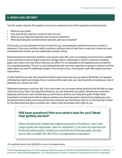#### **4. WHEN CAN I RETIRE?**

You'll be ready to dig into this question once you've answered some of the questions posed previously:

- What are your goals?
- How long will you need your money to work for you?
- What are your expected expenses and income in retirement?
- What asset allocation and benchmark are best, given your situation?

At this point, you can estimate the level of cash flow you can sustainably withdraw from your portfolio in retirement. Once your portfolio is able to provide a sufficient level of cash flow to meet your needs over your anticipated time horizon, you can realistically consider retiring.

Achieving financial retirement readiness may require trade-offs, such as accepting more short-term volatility in your portfolio to achieve higher long-term average returns. Importantly, in order to meet your investing goals, you'll need to be clear about what you can afford. It's not advisable to risk depleting your portfolio for non-essential spending. This isn't to say helping family with university expenses or going on vacation is off the table; rather, you need to realistically budget in the context of your overall goals, cash-flow needs and return expectations.

It's also helpful to be clear with yourself and others about how much you can spend. Remember, by regularly withdrawing a higher percentage of your overall portfolio each year, you may be greatly increasing your risk of depleting your assets over time.

Retirement planning is a process. But, if you start today, you can begin asking questions that will help you gain clarity about your future. By using this framework, you can determine your goals, estimate your retirement expenses and income, and consider how you will invest to achieve your long-term goals. Finally, Fisher Investments Canada may be able to help you achieve your financial goals in retirement by helping you stay disciplined and providing resources and services along the way. Remember, there is no universal right answer for the ideal retirement age or portfolio size—there is only the answer that's right for you.

### **Still have questions? Not sure what's best for you? Need help getting started?**

Fisher Investments Canada has helped thousands of investors—each with unique goals and objectives—plan for retirement. If you want an experienced financial professional to review your portfolio and financial goals, we urge you to call us at 888-291-0675 for a complimentary evaluation.\*

*\*For qualified investors with \$500,000 or more in investable assets.*

Fisher Asset Management, LLC does business under this name in Ontario and Newfoundland & Labrador. In all other 11 provinces, Fisher Asset Management, LLC does business as Fisher Investments Canada and as Fisher Investments.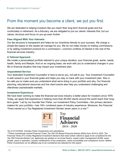# From the moment you become a client, we put you first.

We are dedicated to helping investors like you reach their long-term financial goals and live comfortably in retirement. As a fiduciary, we are obligated to put our clients' interests first, but our values, structure and focus on you go even further:

#### **Fees Aligned With Your Interests**

Our fee structure is transparent and helps tie our incentives directly to your success. We charge a simple fee based on the assets we manage for you. We do not make money on trading commissions or by selling investment products for a commission—common conflicts of interest in the rest of the financial services industry.

#### **A Tailored Approach**

We create a personalised portfolio tailored to your unique situation: your financial goals, wants, needs, health, family and lifestyle. And on an ongoing basis, we work with you to understand changes in your life or financial situation that may impact your investment plan.

#### **Unparalleled Service**

Your dedicated Investment Counsellor is here to serve you, not sell to you. Your Investment Counsellor is well versed in your financial goals and helps you stay on track with your investment plan. She or he calls you to make sure you understand what we're doing in your portfolio and why. Our financial planning, educational resources and live client events also help you understand challenging and oftentimes-unpredictable markets.

#### **Investment Experience**

We have been working to make the financial services industry a better place for investors since 1979. Today, we apply that experience in helping more than 80,000 clients around the world reach their longterm goals.\* Led by our founder Ken Fisher, our Investment Policy Committee—the primary decisionmakers for your portfolio—has 140+ combined years of industry experience. Moreover, the *Financial Times* named us a Top Registered Investment Adviser seven years in a row.\*\*



#### *\*As of 31/12/2020. Includes Fisher Investments and subsidiaries.*

*\*\*Fisher Investments named* Financial Times *Top 300 US-Based Financial Adviser (RIAs) from 2014 to 2020. The*  Financial Times (FT) *invites Registered Investment Advisers that meet certain criteria to apply to be considered for the Top 300 Financial Adviser List. Applicants are graded on six broad factors: assets under management (AUM), asset growth, years in operation, industry certifi cations of key employees, online accessibility and compliance record. Neither*  Fisher Investments nor its affiliates pay to be considered and selected for this award.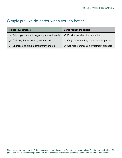# Simply put, we do better when you do better.

| <b>Fisher Investments</b>                                                                              | <b>Some Money Managers</b>                          |
|--------------------------------------------------------------------------------------------------------|-----------------------------------------------------|
| $\sqrt{}$ Tailors your portfolio to your goals and needs $\mathbb{R}$ Provide cookie-cutter portfolios |                                                     |
| $\sqrt{\ }$ Calls regularly to keep you informed                                                       | $\times$ Only call when they have something to sell |
| $\checkmark$ Charges one simple, straightforward fee                                                   | $\times$ Sell high-commission investment products   |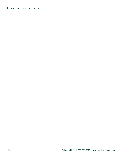#### FISHER INVESTMENTS CANADA<sup>™</sup>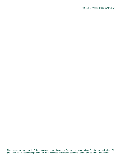Fisher Asset Management, LLC does business under this name in Ontario and Newfoundland & Labrador. In all other 15 provinces, Fisher Asset Management, LLC does business as Fisher Investments Canada and as Fisher Investments.